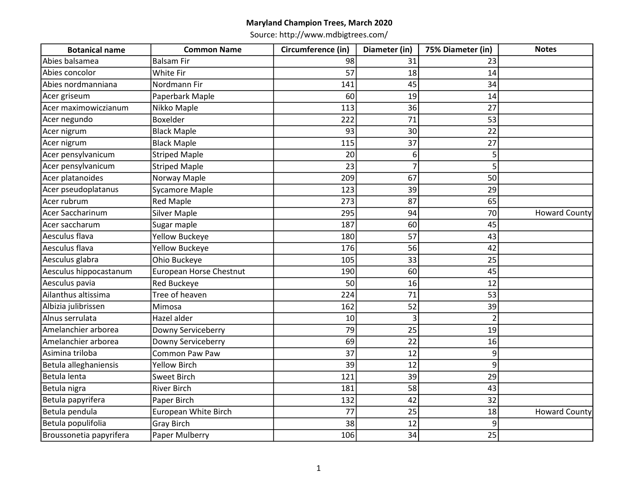| <b>Botanical name</b>   | <b>Common Name</b>      | Circumference (in) | Diameter (in)  | 75% Diameter (in) | <b>Notes</b>         |
|-------------------------|-------------------------|--------------------|----------------|-------------------|----------------------|
| Abies balsamea          | <b>Balsam Fir</b>       | 98                 | 31             | 23                |                      |
| Abies concolor          | White Fir               | 57                 | 18             | 14                |                      |
| Abies nordmanniana      | Nordmann Fir            | 141                | 45             | 34                |                      |
| Acer griseum            | Paperbark Maple         | 60                 | 19             | 14                |                      |
| Acer maximowiczianum    | Nikko Maple             | 113                | 36             | 27                |                      |
| Acer negundo            | Boxelder                | 222                | 71             | 53                |                      |
| Acer nigrum             | <b>Black Maple</b>      | 93                 | 30             | 22                |                      |
| Acer nigrum             | <b>Black Maple</b>      | 115                | 37             | 27                |                      |
| Acer pensylvanicum      | <b>Striped Maple</b>    | 20                 | 6              | 5                 |                      |
| Acer pensylvanicum      | <b>Striped Maple</b>    | 23                 | $\overline{7}$ |                   |                      |
| Acer platanoides        | Norway Maple            | 209                | 67             | 50                |                      |
| Acer pseudoplatanus     | <b>Sycamore Maple</b>   | 123                | 39             | 29                |                      |
| Acer rubrum             | <b>Red Maple</b>        | 273                | 87             | 65                |                      |
| Acer Saccharinum        | <b>Silver Maple</b>     | 295                | 94             | 70                | <b>Howard County</b> |
| Acer saccharum          | Sugar maple             | 187                | 60             | 45                |                      |
| Aesculus flava          | <b>Yellow Buckeye</b>   | 180                | 57             | 43                |                      |
| Aesculus flava          | <b>Yellow Buckeye</b>   | 176                | 56             | 42                |                      |
| Aesculus glabra         | Ohio Buckeye            | 105                | 33             | 25                |                      |
| Aesculus hippocastanum  | European Horse Chestnut | 190                | 60             | 45                |                      |
| Aesculus pavia          | Red Buckeye             | 50                 | 16             | 12                |                      |
| Ailanthus altissima     | Tree of heaven          | 224                | 71             | 53                |                      |
| Albizia julibrissen     | Mimosa                  | 162                | 52             | 39                |                      |
| Alnus serrulata         | Hazel alder             | 10                 | 3              | $\overline{2}$    |                      |
| Amelanchier arborea     | Downy Serviceberry      | 79                 | 25             | 19                |                      |
| Amelanchier arborea     | Downy Serviceberry      | 69                 | 22             | 16                |                      |
| Asimina triloba         | Common Paw Paw          | 37                 | 12             | 9                 |                      |
| Betula alleghaniensis   | <b>Yellow Birch</b>     | 39                 | 12             | 9                 |                      |
| Betula lenta            | <b>Sweet Birch</b>      | 121                | 39             | 29                |                      |
| Betula nigra            | <b>River Birch</b>      | 181                | 58             | 43                |                      |
| Betula papyrifera       | Paper Birch             | 132                | 42             | 32                |                      |
| Betula pendula          | European White Birch    | 77                 | 25             | 18                | <b>Howard County</b> |
| Betula populifolia      | <b>Gray Birch</b>       | 38                 | 12             | 9                 |                      |
| Broussonetia papyrifera | Paper Mulberry          | 106                | 34             | 25                |                      |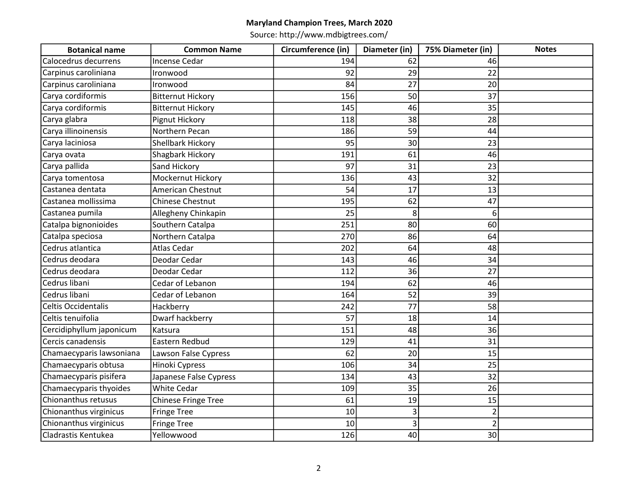| <b>Botanical name</b>    | <b>Common Name</b>         | Circumference (in) | Diameter (in) | 75% Diameter (in) | <b>Notes</b> |
|--------------------------|----------------------------|--------------------|---------------|-------------------|--------------|
| Calocedrus decurrens     | <b>Incense Cedar</b>       | 194                | 62            | 46                |              |
| Carpinus caroliniana     | Ironwood                   | 92                 | 29            | 22                |              |
| Carpinus caroliniana     | Ironwood                   | 84                 | 27            | 20                |              |
| Carya cordiformis        | <b>Bitternut Hickory</b>   | 156                | 50            | 37                |              |
| Carya cordiformis        | <b>Bitternut Hickory</b>   | 145                | 46            | 35                |              |
| Carya glabra             | Pignut Hickory             | 118                | 38            | 28                |              |
| Carya illinoinensis      | Northern Pecan             | 186                | 59            | 44                |              |
| Carya laciniosa          | Shellbark Hickory          | 95                 | 30            | 23                |              |
| Carya ovata              | Shagbark Hickory           | 191                | 61            | 46                |              |
| Carya pallida            | Sand Hickory               | 97                 | 31            | 23                |              |
| Carya tomentosa          | Mockernut Hickory          | 136                | 43            | 32                |              |
| Castanea dentata         | American Chestnut          | 54                 | 17            | 13                |              |
| Castanea mollissima      | <b>Chinese Chestnut</b>    | 195                | 62            | 47                |              |
| Castanea pumila          | Allegheny Chinkapin        | 25                 | 8             | 6                 |              |
| Catalpa bignonioides     | Southern Catalpa           | 251                | 80            | 60                |              |
| Catalpa speciosa         | Northern Catalpa           | 270                | 86            | 64                |              |
| Cedrus atlantica         | <b>Atlas Cedar</b>         | 202                | 64            | 48                |              |
| Cedrus deodara           | Deodar Cedar               | 143                | 46            | 34                |              |
| Cedrus deodara           | Deodar Cedar               | 112                | 36            | 27                |              |
| Cedrus libani            | Cedar of Lebanon           | 194                | 62            | 46                |              |
| Cedrus libani            | Cedar of Lebanon           | 164                | 52            | 39                |              |
| Celtis Occidentalis      | Hackberry                  | 242                | 77            | 58                |              |
| Celtis tenuifolia        | Dwarf hackberry            | 57                 | 18            | 14                |              |
| Cercidiphyllum japonicum | Katsura                    | 151                | 48            | 36                |              |
| Cercis canadensis        | Eastern Redbud             | 129                | 41            | 31                |              |
| Chamaecyparis lawsoniana | Lawson False Cypress       | 62                 | 20            | 15                |              |
| Chamaecyparis obtusa     | Hinoki Cypress             | 106                | 34            | 25                |              |
| Chamaecyparis pisifera   | Japanese False Cypress     | 134                | 43            | 32                |              |
| Chamaecyparis thyoides   | <b>White Cedar</b>         | 109                | 35            | 26                |              |
| Chionanthus retusus      | <b>Chinese Fringe Tree</b> | 61                 | 19            | 15                |              |
| Chionanthus virginicus   | <b>Fringe Tree</b>         | 10                 | 3             | $\overline{2}$    |              |
| Chionanthus virginicus   | <b>Fringe Tree</b>         | 10                 | 3             | $\overline{2}$    |              |
| Cladrastis Kentukea      | Yellowwood                 | 126                | 40            | 30 <sup>1</sup>   |              |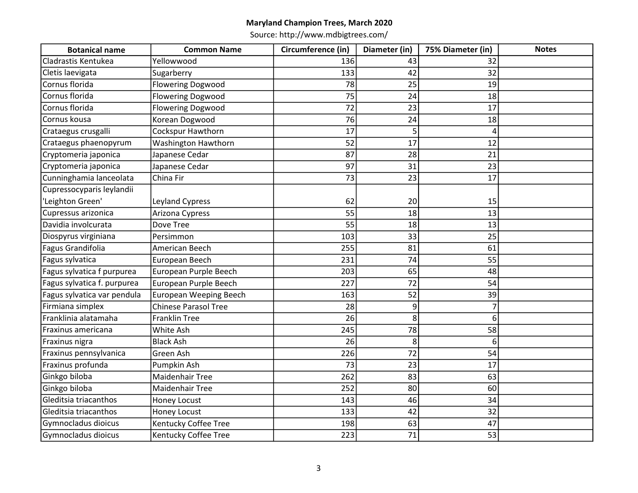| <b>Botanical name</b>       | <b>Common Name</b>          | Circumference (in) | Diameter (in) | 75% Diameter (in) | <b>Notes</b> |
|-----------------------------|-----------------------------|--------------------|---------------|-------------------|--------------|
| Cladrastis Kentukea         | Yellowwood                  | 136                | 43            | 32                |              |
| Cletis laevigata            | Sugarberry                  | 133                | 42            | 32                |              |
| Cornus florida              | <b>Flowering Dogwood</b>    | 78                 | 25            | 19                |              |
| Cornus florida              | <b>Flowering Dogwood</b>    | 75                 | 24            | 18                |              |
| Cornus florida              | <b>Flowering Dogwood</b>    | $\overline{72}$    | 23            | 17                |              |
| Cornus kousa                | Korean Dogwood              | 76                 | 24            | 18                |              |
| Crataegus crusgalli         | Cockspur Hawthorn           | 17                 | 5             | 4                 |              |
| Crataegus phaenopyrum       | Washington Hawthorn         | 52                 | 17            | 12                |              |
| Cryptomeria japonica        | Japanese Cedar              | 87                 | 28            | 21                |              |
| Cryptomeria japonica        | Japanese Cedar              | 97                 | 31            | 23                |              |
| Cunninghamia lanceolata     | China Fir                   | 73                 | 23            | 17                |              |
| Cupressocyparis leylandii   |                             |                    |               |                   |              |
| 'Leighton Green'            | <b>Leyland Cypress</b>      | 62                 | 20            | 15                |              |
| Cupressus arizonica         | Arizona Cypress             | 55                 | 18            | 13                |              |
| Davidia involcurata         | Dove Tree                   | 55                 | 18            | 13                |              |
| Diospyrus virginiana        | Persimmon                   | 103                | 33            | 25                |              |
| Fagus Grandifolia           | American Beech              | 255                | 81            | 61                |              |
| Fagus sylvatica             | European Beech              | 231                | 74            | 55                |              |
| Fagus sylvatica f purpurea  | European Purple Beech       | 203                | 65            | 48                |              |
| Fagus sylvatica f. purpurea | European Purple Beech       | 227                | 72            | 54                |              |
| Fagus sylvatica var pendula | European Weeping Beech      | 163                | 52            | 39                |              |
| Firmiana simplex            | <b>Chinese Parasol Tree</b> | 28                 | 9             |                   |              |
| Franklinia alatamaha        | <b>Franklin Tree</b>        | 26                 | 8             | 6 <sup>1</sup>    |              |
| Fraxinus americana          | White Ash                   | 245                | 78            | 58                |              |
| Fraxinus nigra              | <b>Black Ash</b>            | 26                 | 8             | $6 \mid$          |              |
| Fraxinus pennsylvanica      | Green Ash                   | 226                | 72            | 54                |              |
| Fraxinus profunda           | Pumpkin Ash                 | 73                 | 23            | 17                |              |
| Ginkgo biloba               | <b>Maidenhair Tree</b>      | 262                | 83            | 63                |              |
| Ginkgo biloba               | Maidenhair Tree             | 252                | 80            | 60                |              |
| Gleditsia triacanthos       | Honey Locust                | 143                | 46            | 34                |              |
| Gleditsia triacanthos       | Honey Locust                | 133                | 42            | 32                |              |
| Gymnocladus dioicus         | Kentucky Coffee Tree        | 198                | 63            | 47                |              |
| Gymnocladus dioicus         | Kentucky Coffee Tree        | 223                | 71            | 53                |              |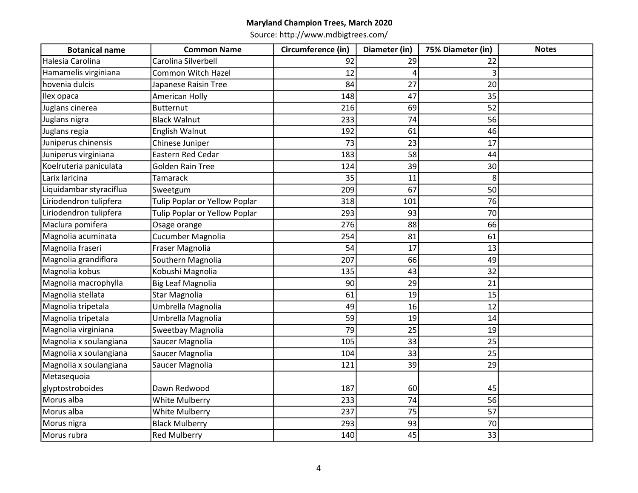| <b>Botanical name</b>   | <b>Common Name</b>            | Circumference (in) | Diameter (in) | 75% Diameter (in) | <b>Notes</b> |
|-------------------------|-------------------------------|--------------------|---------------|-------------------|--------------|
| Halesia Carolina        | Carolina Silverbell           | 92                 | 29            | 22                |              |
| Hamamelis virginiana    | Common Witch Hazel            | 12                 | 4             | 3                 |              |
| hovenia dulcis          | Japanese Raisin Tree          | 84                 | 27            | 20                |              |
| Ilex opaca              | American Holly                | 148                | 47            | 35                |              |
| Juglans cinerea         | <b>Butternut</b>              | 216                | 69            | 52                |              |
| Juglans nigra           | <b>Black Walnut</b>           | 233                | 74            | 56                |              |
| Juglans regia           | English Walnut                | 192                | 61            | 46                |              |
| Juniperus chinensis     | Chinese Juniper               | 73                 | 23            | 17                |              |
| Juniperus virginiana    | Eastern Red Cedar             | 183                | 58            | 44                |              |
| Koelruteria paniculata  | <b>Golden Rain Tree</b>       | 124                | 39            | 30                |              |
| Larix laricina          | Tamarack                      | 35                 | 11            | 8                 |              |
| Liquidambar styraciflua | Sweetgum                      | 209                | 67            | 50                |              |
| Liriodendron tulipfera  | Tulip Poplar or Yellow Poplar | 318                | 101           | 76                |              |
| Liriodendron tulipfera  | Tulip Poplar or Yellow Poplar | 293                | 93            | 70                |              |
| Maclura pomifera        | Osage orange                  | 276                | 88            | 66                |              |
| Magnolia acuminata      | Cucumber Magnolia             | 254                | 81            | 61                |              |
| Magnolia fraseri        | Fraser Magnolia               | 54                 | 17            | 13                |              |
| Magnolia grandiflora    | Southern Magnolia             | 207                | 66            | 49                |              |
| Magnolia kobus          | Kobushi Magnolia              | 135                | 43            | 32                |              |
| Magnolia macrophylla    | <b>Big Leaf Magnolia</b>      | 90                 | 29            | 21                |              |
| Magnolia stellata       | <b>Star Magnolia</b>          | 61                 | 19            | 15                |              |
| Magnolia tripetala      | Umbrella Magnolia             | 49                 | 16            | 12                |              |
| Magnolia tripetala      | Umbrella Magnolia             | 59                 | 19            | 14                |              |
| Magnolia virginiana     | Sweetbay Magnolia             | 79                 | 25            | 19                |              |
| Magnolia x soulangiana  | Saucer Magnolia               | 105                | 33            | 25                |              |
| Magnolia x soulangiana  | Saucer Magnolia               | 104                | 33            | 25                |              |
| Magnolia x soulangiana  | Saucer Magnolia               | 121                | 39            | 29                |              |
| Metasequoia             |                               |                    |               |                   |              |
| glyptostroboides        | Dawn Redwood                  | 187                | 60            | 45                |              |
| Morus alba              | White Mulberry                | 233                | 74            | 56                |              |
| Morus alba              | <b>White Mulberry</b>         | 237                | 75            | 57                |              |
| Morus nigra             | <b>Black Mulberry</b>         | 293                | 93            | 70                |              |
| Morus rubra             | <b>Red Mulberry</b>           | 140                | 45            | 33                |              |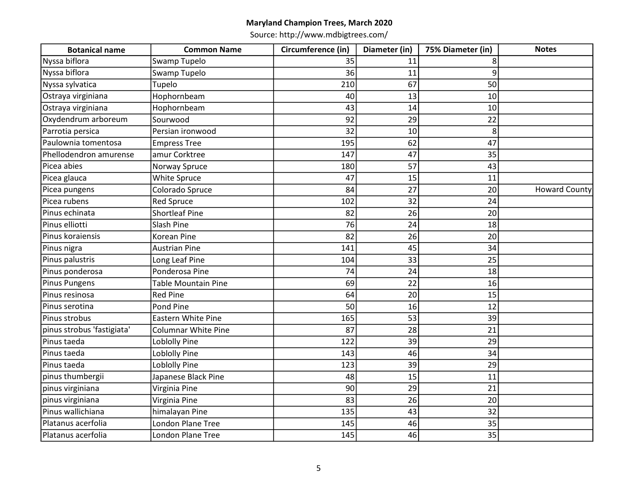| <b>Botanical name</b>      | <b>Common Name</b>         | Circumference (in) | Diameter (in) | 75% Diameter (in) | <b>Notes</b>         |
|----------------------------|----------------------------|--------------------|---------------|-------------------|----------------------|
| Nyssa biflora              | Swamp Tupelo               | 35                 | 11            | 8                 |                      |
| Nyssa biflora              | Swamp Tupelo               | 36                 | 11            | 9                 |                      |
| Nyssa sylvatica            | Tupelo                     | 210                | 67            | 50                |                      |
| Ostraya virginiana         | Hophornbeam                | 40                 | 13            | 10                |                      |
| Ostraya virginiana         | Hophornbeam                | 43                 | 14            | 10                |                      |
| Oxydendrum arboreum        | Sourwood                   | 92                 | 29            | 22                |                      |
| Parrotia persica           | Persian ironwood           | 32                 | 10            | 8                 |                      |
| Paulownia tomentosa        | <b>Empress Tree</b>        | 195                | 62            | 47                |                      |
| Phellodendron amurense     | amur Corktree              | 147                | 47            | 35                |                      |
| Picea abies                | Norway Spruce              | 180                | 57            | 43                |                      |
| Picea glauca               | White Spruce               | 47                 | 15            | 11                |                      |
| Picea pungens              | Colorado Spruce            | 84                 | 27            | 20                | <b>Howard County</b> |
| Picea rubens               | <b>Red Spruce</b>          | 102                | 32            | 24                |                      |
| Pinus echinata             | <b>Shortleaf Pine</b>      | 82                 | 26            | 20                |                      |
| Pinus elliotti             | Slash Pine                 | 76                 | 24            | 18                |                      |
| Pinus koraiensis           | Korean Pine                | 82                 | 26            | 20                |                      |
| Pinus nigra                | <b>Austrian Pine</b>       | 141                | 45            | 34                |                      |
| Pinus palustris            | Long Leaf Pine             | 104                | 33            | 25                |                      |
| Pinus ponderosa            | Ponderosa Pine             | 74                 | 24            | 18                |                      |
| <b>Pinus Pungens</b>       | <b>Table Mountain Pine</b> | 69                 | 22            | 16                |                      |
| Pinus resinosa             | <b>Red Pine</b>            | 64                 | 20            | 15                |                      |
| Pinus serotina             | Pond Pine                  | 50                 | 16            | 12                |                      |
| Pinus strobus              | <b>Eastern White Pine</b>  | 165                | 53            | 39                |                      |
| pinus strobus 'fastigiata' | <b>Columnar White Pine</b> | 87                 | 28            | 21                |                      |
| Pinus taeda                | Loblolly Pine              | 122                | 39            | 29                |                      |
| Pinus taeda                | Loblolly Pine              | 143                | 46            | 34                |                      |
| Pinus taeda                | Loblolly Pine              | 123                | 39            | 29                |                      |
| pinus thumbergii           | Japanese Black Pine        | 48                 | 15            | 11                |                      |
| pinus virginiana           | Virginia Pine              | 90                 | 29            | 21                |                      |
| pinus virginiana           | Virginia Pine              | 83                 | 26            | 20                |                      |
| Pinus wallichiana          | himalayan Pine             | 135                | 43            | 32                |                      |
| Platanus acerfolia         | London Plane Tree          | 145                | 46            | 35                |                      |
| Platanus acerfolia         | <b>London Plane Tree</b>   | 145                | 46            | 35                |                      |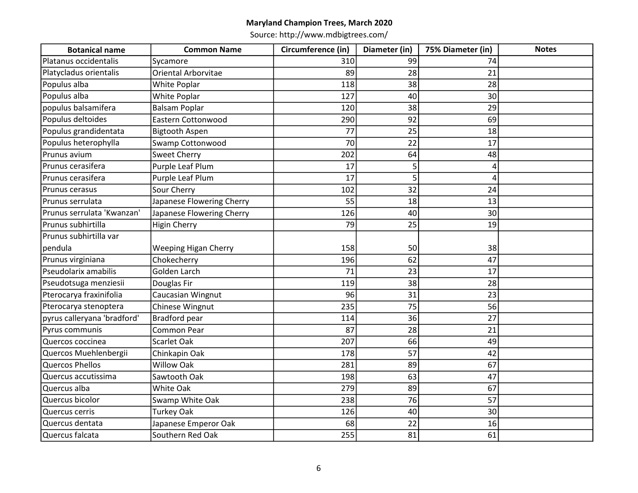| <b>Botanical name</b>       | <b>Common Name</b>          | Circumference (in) | Diameter (in) | 75% Diameter (in) | <b>Notes</b> |
|-----------------------------|-----------------------------|--------------------|---------------|-------------------|--------------|
| Platanus occidentalis       | Sycamore                    | 310                | 99            | 74                |              |
| Platycladus orientalis      | Oriental Arborvitae         | 89                 | 28            | 21                |              |
| Populus alba                | White Poplar                | 118                | 38            | 28                |              |
| Populus alba                | White Poplar                | 127                | 40            | 30                |              |
| populus balsamifera         | <b>Balsam Poplar</b>        | 120                | 38            | 29                |              |
| Populus deltoides           | Eastern Cottonwood          | 290                | 92            | 69                |              |
| Populus grandidentata       | <b>Bigtooth Aspen</b>       | 77                 | 25            | 18                |              |
| Populus heterophylla        | Swamp Cottonwood            | 70                 | 22            | 17                |              |
| Prunus avium                | <b>Sweet Cherry</b>         | 202                | 64            | 48                |              |
| Prunus cerasifera           | Purple Leaf Plum            | 17                 | 5             | 4                 |              |
| Prunus cerasifera           | Purple Leaf Plum            | 17                 | 5             | Δ                 |              |
| Prunus cerasus              | Sour Cherry                 | 102                | 32            | 24                |              |
| Prunus serrulata            | Japanese Flowering Cherry   | 55                 | 18            | 13                |              |
| Prunus serrulata 'Kwanzan'  | Japanese Flowering Cherry   | 126                | 40            | 30 <sup>1</sup>   |              |
| Prunus subhirtilla          | <b>Higin Cherry</b>         | 79                 | 25            | 19                |              |
| Prunus subhirtilla var      |                             |                    |               |                   |              |
| pendula                     | <b>Weeping Higan Cherry</b> | 158                | 50            | 38                |              |
| Prunus virginiana           | Chokecherry                 | 196                | 62            | 47                |              |
| Pseudolarix amabilis        | <b>Golden Larch</b>         | 71                 | 23            | 17                |              |
| Pseudotsuga menziesii       | Douglas Fir                 | 119                | 38            | 28                |              |
| Pterocarya fraxinifolia     | Caucasian Wingnut           | 96                 | 31            | 23                |              |
| Pterocarya stenoptera       | Chinese Wingnut             | 235                | 75            | 56                |              |
| pyrus calleryana 'bradford' | <b>Bradford pear</b>        | 114                | 36            | 27                |              |
| Pyrus communis              | Common Pear                 | 87                 | 28            | 21                |              |
| Quercos coccinea            | Scarlet Oak                 | 207                | 66            | 49                |              |
| Quercos Muehlenbergii       | Chinkapin Oak               | 178                | 57            | 42                |              |
| <b>Quercos Phellos</b>      | <b>Willow Oak</b>           | 281                | 89            | 67                |              |
| Quercus accutissima         | Sawtooth Oak                | 198                | 63            | 47                |              |
| Quercus alba                | <b>White Oak</b>            | 279                | 89            | 67                |              |
| Quercus bicolor             | Swamp White Oak             | 238                | 76            | 57                |              |
| Quercus cerris              | <b>Turkey Oak</b>           | 126                | 40            | 30                |              |
| Quercus dentata             | Japanese Emperor Oak        | 68                 | 22            | 16                |              |
| Quercus falcata             | Southern Red Oak            | 255                | 81            | 61                |              |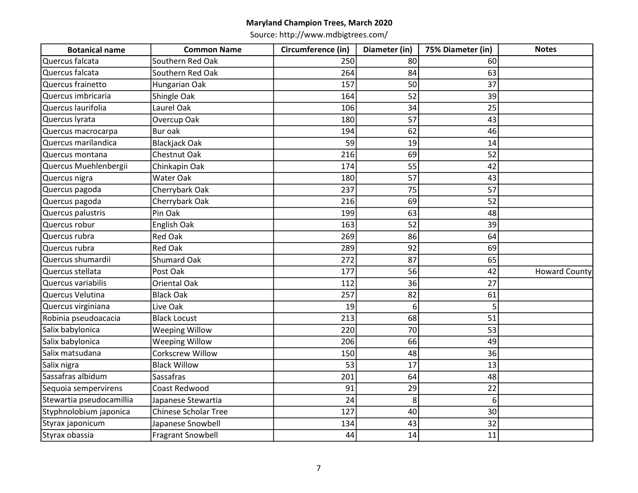| <b>Botanical name</b>    | <b>Common Name</b>          | Circumference (in) | Diameter (in) | 75% Diameter (in) | <b>Notes</b>         |
|--------------------------|-----------------------------|--------------------|---------------|-------------------|----------------------|
| Quercus falcata          | Southern Red Oak            | 250                | 80            | 60                |                      |
| Quercus falcata          | Southern Red Oak            | 264                | 84            | 63                |                      |
| Quercus frainetto        | Hungarian Oak               | 157                | 50            | 37                |                      |
| Quercus imbricaria       | Shingle Oak                 | 164                | 52            | 39                |                      |
| Quercus laurifolia       | Laurel Oak                  | 106                | 34            | 25                |                      |
| Quercus lyrata           | Overcup Oak                 | 180                | 57            | 43                |                      |
| Quercus macrocarpa       | <b>Bur oak</b>              | 194                | 62            | 46                |                      |
| Quercus marilandica      | <b>Blackjack Oak</b>        | 59                 | 19            | 14                |                      |
| Quercus montana          | Chestnut Oak                | 216                | 69            | 52                |                      |
| Quercus Muehlenbergii    | Chinkapin Oak               | 174                | 55            | 42                |                      |
| Quercus nigra            | Water Oak                   | 180                | 57            | 43                |                      |
| Quercus pagoda           | Cherrybark Oak              | 237                | 75            | 57                |                      |
| Quercus pagoda           | Cherrybark Oak              | 216                | 69            | 52                |                      |
| Quercus palustris        | Pin Oak                     | 199                | 63            | 48                |                      |
| Quercus robur            | English Oak                 | 163                | 52            | 39                |                      |
| Quercus rubra            | <b>Red Oak</b>              | 269                | 86            | 64                |                      |
| Quercus rubra            | <b>Red Oak</b>              | 289                | 92            | 69                |                      |
| Quercus shumardii        | <b>Shumard Oak</b>          | 272                | 87            | 65                |                      |
| Quercus stellata         | Post Oak                    | 177                | 56            | 42                | <b>Howard County</b> |
| Quercus variabilis       | <b>Oriental Oak</b>         | 112                | 36            | 27                |                      |
| Quercus Velutina         | <b>Black Oak</b>            | 257                | 82            | 61                |                      |
| Quercus virginiana       | Live Oak                    | 19                 | 6             | 5                 |                      |
| Robinia pseudoacacia     | <b>Black Locust</b>         | 213                | 68            | 51                |                      |
| Salix babylonica         | <b>Weeping Willow</b>       | 220                | 70            | 53                |                      |
| Salix babylonica         | <b>Weeping Willow</b>       | 206                | 66            | 49                |                      |
| Salix matsudana          | <b>Corkscrew Willow</b>     | 150                | 48            | 36                |                      |
| Salix nigra              | <b>Black Willow</b>         | 53                 | 17            | 13                |                      |
| Sassafras albidum        | Sassafras                   | 201                | 64            | 48                |                      |
| Sequoia sempervirens     | Coast Redwood               | 91                 | 29            | 22                |                      |
| Stewartia pseudocamillia | Japanese Stewartia          | 24                 | 8             | 6                 |                      |
| Styphnolobium japonica   | <b>Chinese Scholar Tree</b> | 127                | 40            | 30                |                      |
| Styrax japonicum         | Japanese Snowbell           | 134                | 43            | 32                |                      |
| Styrax obassia           | <b>Fragrant Snowbell</b>    | 44                 | 14            | 11                |                      |